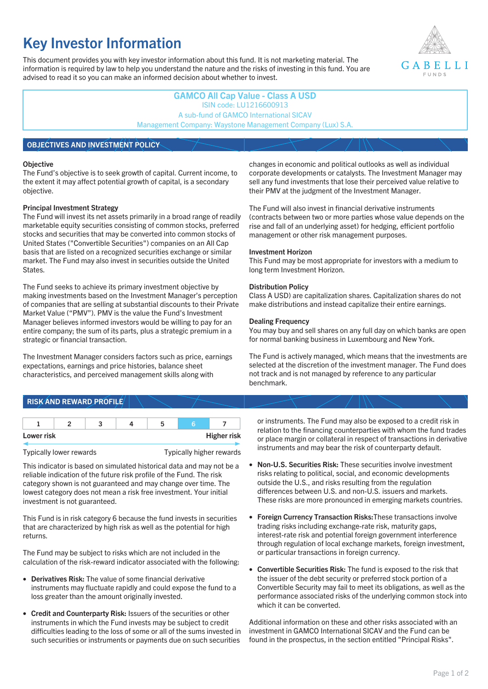# **Key Investor Information**

This document provides you with key investor information about this fund. It is not marketing material. The information is required by law to help you understand the nature and the risks of investing in this fund. You are advised to read it so you can make an informed decision about whether to invest.



## **GAMCO All Cap Value - Class A USD** ISIN code: LU1216600913 A sub-fund of GAMCO International SICAV Management Company: Waystone Management Company (Lux) S.A.

## **OBJECTIVES AND INVESTMENT POLICY**

#### **Objective**

The Fund's objective is to seek growth of capital. Current income, to the extent it may affect potential growth of capital, is a secondary objective.

#### **Principal Investment Strategy**

The Fund will invest its net assets primarily in a broad range of readily marketable equity securities consisting of common stocks, preferred stocks and securities that may be converted into common stocks of United States ("Convertible Securities") companies on an All Cap basis that are listed on a recognized securities exchange or similar market. The Fund may also invest in securities outside the United States.

The Fund seeks to achieve its primary investment objective by making investments based on the Investment Manager's perception of companies that are selling at substantial discounts to their Private Market Value ("PMV"). PMV is the value the Fund's Investment Manager believes informed investors would be willing to pay for an entire company; the sum of its parts, plus a strategic premium in a strategic or financial transaction.

The Investment Manager considers factors such as price, earnings expectations, earnings and price histories, balance sheet characteristics, and perceived management skills along with

#### changes in economic and political outlooks as well as individual corporate developments or catalysts. The Investment Manager may sell any fund investments that lose their perceived value relative to their PMV at the judgment of the Investment Manager.

The Fund will also invest in financial derivative instruments (contracts between two or more parties whose value depends on the rise and fall of an underlying asset) for hedging, efficient portfolio management or other risk management purposes.

#### **Investment Horizon**

This Fund may be most appropriate for investors with a medium to long term Investment Horizon.

#### **Distribution Policy**

Class A USD) are capitalization shares. Capitalization shares do not make distributions and instead capitalize their entire earnings.

#### **Dealing Frequency**

You may buy and sell shares on any full day on which banks are open for normal banking business in Luxembourg and New York.

The Fund is actively managed, which means that the investments are selected at the discretion of the investment manager. The Fund does not track and is not managed by reference to any particular benchmark.

# **RISK AND REWARD PROFILE**

| Lower risk |  |  | <b>Higher risk</b> |
|------------|--|--|--------------------|

Typically lower rewards Typically higher rewards

This indicator is based on simulated historical data and may not be a reliable indication of the future risk profile of the Fund. The risk category shown is not guaranteed and may change over time. The lowest category does not mean a risk free investment. Your initial investment is not guaranteed.

This Fund is in risk category 6 because the fund invests in securities that are characterized by high risk as well as the potential for high returns.

The Fund may be subject to risks which are not included in the calculation of the risk-reward indicator associated with the following:

- **Derivatives Risk:** The value of some financial derivative instruments may fluctuate rapidly and could expose the fund to a loss greater than the amount originally invested.
- **Credit and Counterparty Risk:** Issuers of the securities or other instruments in which the Fund invests may be subject to credit difficulties leading to the loss of some or all of the sums invested in such securities or instruments or payments due on such securities

or instruments. The Fund may also be exposed to a credit risk in relation to the financing counterparties with whom the fund trades or place margin or collateral in respect of transactions in derivative instruments and may bear the risk of counterparty default.

- **Non-U.S. Securities Risk:** These securities involve investment risks relating to political, social, and economic developments outside the U.S., and risks resulting from the regulation differences between U.S. and non-U.S. issuers and markets. These risks are more pronounced in emerging markets countries.
- **Foreign Currency Transaction Risks:**These transactions involve trading risks including exchange-rate risk, maturity gaps, interest-rate risk and potential foreign government interference through regulation of local exchange markets, foreign investment, or particular transactions in foreign currency.
- **Convertible Securities Risk:** The fund is exposed to the risk that the issuer of the debt security or preferred stock portion of a Convertible Security may fail to meet its obligations, as well as the performance associated risks of the underlying common stock into which it can be converted.

Additional information on these and other risks associated with an investment in GAMCO International SICAV and the Fund can be found in the prospectus, in the section entitled "Principal Risks".